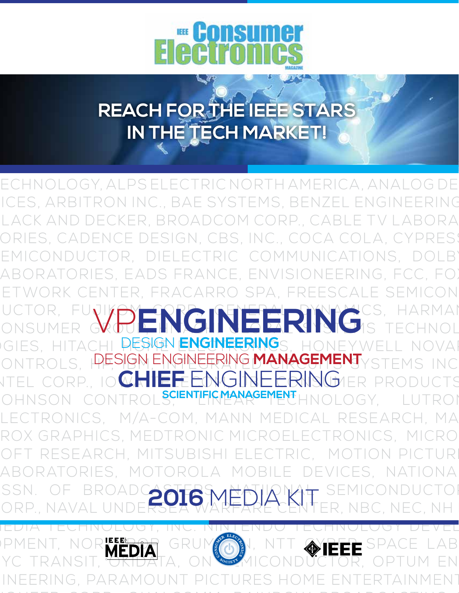

**REACH FOR THE IEEE STARS IN THE TECH MARKET!**

3M, ALACATEL-LUCENT, ALCATEL OPTICS, ALION SCIENCE & ECHNOLOGY, ALPS ELECTRIC NORTH AMERICA, ANALOG DE ICES, ARBITRON INC., BAE SYSTEMS, BENZEL ENGINEERING LACK AND DECKER, BROADCOM CORP., CABLE TV LABORA ORIES, CADENCE DESIGN, CBS, INC., COCA COLA, CYPRES! EMICONDUCTOR, DIELECTRIC COMMUNICATIONS, DOLB' ABORATORIES, EADS FRANCE, ENVISIONEERING, FCC, FOI R. FRACARRO SPA, FREESCALE SEMICON UCTOR, FUJIKOM CRAINTER DINNAMICS, HARMAN ONSUMER GROUP, INSHING PARTING IS TECHNOL GIES, HITACHI **pesign <mark>engineering</mark>**s, honeywell novai ONTROLS, PESIGN ENGINEERING MANAGEMENT<sub>YSTEMS</sub> INC NTEL CORP., IO**CHIEF ENGINEERING** ER PRODUCTS OHNSON CONTROLS, **SCIENTIFICMANAGEMENT**HNOLOGY, LUTROI ELECTRONICS, M/A-COM, MANN MEDICAL RESEARCH, MA-TROX GRAPHICS, MEDTRONIC MICROELECTRONICS, MICRO-OFT RESEARCH, MITSUBISHI ELECTRIC, MOTION PICTUR LABORATORIES, MOTOROLA MOBILE DEVICES, NATIONAL SSN. OF BROADCASTERS, ANATIONAL SEMICONDUCTOR ORP., NAVAL UNDERSEA WARFARE CENTER, NBC, NEC, NH IEDI<del>a technology, inc. nintendo technology deve</del>l DPMENT, NOR<mark>kero</mark>r grumman, ntt Gyper space lab YC TRANSIT, OKIDATA, ON SOUND LONDUCTOR, OPTUM EN ONSUMER WHIPEINGINEERING **2016** MEDIA KIT

INEERING, PARAMOUNT PICTURES HOME ENTERTAINMENT

PIONEER CORP., QUALCOMM, RAINBOW BROADCASTING &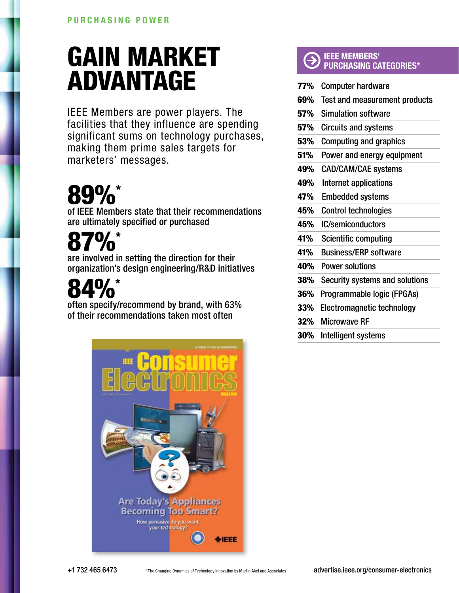### GAIN MARKET ADVANTAGE

IEEE Members are power players. The facilities that they influence are spending significant sums on technology purchases, making them prime sales targets for marketers' messages.

## 89%\*

of IEEE Members state that their recommendations are ultimately specified or purchased

## $\mathbf{D}_{\mathbf{0}}^*$

are involved in setting the direction for their organization's design engineering/R&D initiatives

# 4%\*

often specify/recommend by brand, with 63% of their recommendations taken most often



#### IEEE MEMBERS' PURCHASING CATEGORIES\*

| 77% | <b>Computer hardware</b>             |
|-----|--------------------------------------|
| 69% | <b>Test and measurement products</b> |
| 57% | <b>Simulation software</b>           |
| 57% | <b>Circuits and systems</b>          |
| 53% | <b>Computing and graphics</b>        |
| 51% | Power and energy equipment           |
| 49% | <b>CAD/CAM/CAE systems</b>           |
| 49% | Internet applications                |
| 47% | <b>Embedded systems</b>              |
| 45% | <b>Control technologies</b>          |
| 45% | <b>IC/semiconductors</b>             |
| 41% | <b>Scientific computing</b>          |
| 41% | <b>Business/ERP software</b>         |
| 40% | <b>Power solutions</b>               |
| 38% | Security systems and solutions       |
| 36% | Programmable logic (FPGAs)           |
| 33% | Electromagnetic technology           |
| 32% | <b>Microwave RF</b>                  |
| 30% | Intelligent systems                  |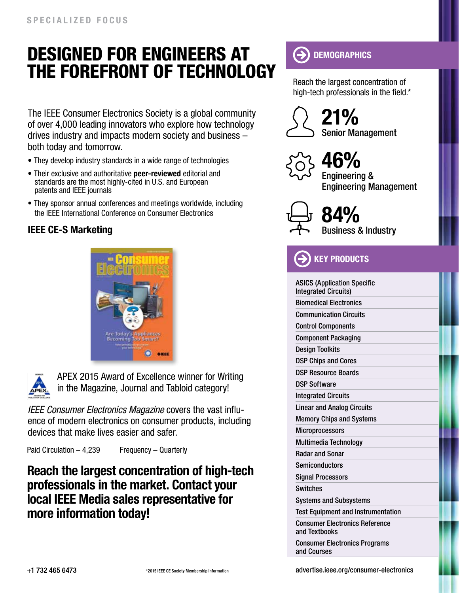### Designed for engineers at the forefront of technology

The IEEE Consumer Electronics Society is a global community of over 4,000 leading innovators who explore how technology drives industry and impacts modern society and business – both today and tomorrow.

- They develop industry standards in a wide range of technologies
- Their exclusive and authoritative peer-reviewed editorial and standards are the most highly-cited in U.S. and European patents and IEEE journals
- They sponsor annual conferences and meetings worldwide, including the IEEE International Conference on Consumer Electronics

#### IEEE CE-S Marketing





APEX 2015 Award of Excellence winner for Writing in the Magazine, Journal and Tabloid category!

*IEEE Consumer Electronics Magazine* covers the vast influence of modern electronics on consumer products, including devices that make lives easier and safer.

Paid Circulation – 4,239 Frequency – Quarterly

Reach the largest concentration of high-tech professionals in the market. Contact your local IEEE Media sales representative for more information today!

#### $\boldsymbol{\Theta}$ **DEMOGRAPHICS**

Reach the largest concentration of high-tech professionals in the field.\*



Senior Management 21%



Engineering & Engineering Management 46%



Business & Industry 84%

**KEY PRODUCTS** 

ASICS (Application Specific Integrated Circuits) Biomedical Electronics Communication Circuits Control Components Component Packaging Design Toolkits DSP Chips and Cores DSP Resource Boards DSP Software Integrated Circuits Linear and Analog Circuits Memory Chips and Systems **Microprocessors** Multimedia Technology Radar and Sonar **Semiconductors** Signal Processors Switches Systems and Subsystems Test Equipment and Instrumentation Consumer Electronics Reference and Textbooks Consumer Electronics Programs

and Courses